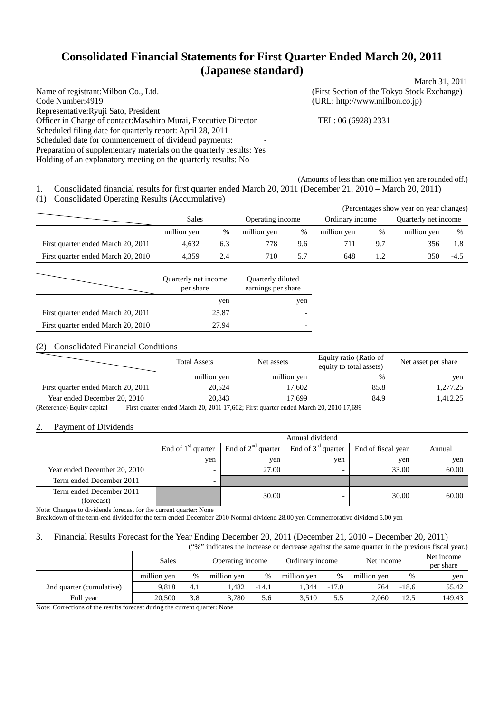# **Consolidated Financial Statements for First Quarter Ended March 20, 2011 (Japanese standard)** March 31, 2011

Name of registrant:Milbon Co., Ltd. (First Section of the Tokyo Stock Exchange) Code Number:4919 (URL: http://www.milbon.co.jp) Representative:Ryuji Sato, President Officer in Charge of contact:Masahiro Murai, Executive Director TEL: 06 (6928) 2331 Scheduled filing date for quarterly report: April 28, 2011 Scheduled date for commencement of dividend payments: Preparation of supplementary materials on the quarterly results: Yes Holding of an explanatory meeting on the quarterly results: No

 $(2)$  year on year changes) show year changes show year changes)

(Amounts of less than one million yen are rounded off.) 1. Consolidated financial results for first quarter ended March 20, 2011 (December 21, 2010 – March 20, 2011)

(1) Consolidated Operating Results (Accumulative)

|                                    |             |               |                  |      |                 |           | (Percentages show year on year changes) |       |
|------------------------------------|-------------|---------------|------------------|------|-----------------|-----------|-----------------------------------------|-------|
|                                    | Sales       |               | Operating income |      | Ordinary income |           | Quarterly net income                    |       |
|                                    | million ven | $\frac{0}{0}$ | million ven      | $\%$ | million yen     | %         | million yen                             | $\%$  |
| First quarter ended March 20, 2011 | 4.632       | 6.3           | 778              | 9.6  | 711             | 9.7       | 356                                     | . . 8 |
| First quarter ended March 20, 2010 | 4.359       | 2.4           | 710              | 5.7  | 648             | $\bigcap$ | 350                                     | -4.5  |

|                                    | Quarterly net income<br>per share | Quarterly diluted<br>earnings per share |  |
|------------------------------------|-----------------------------------|-----------------------------------------|--|
|                                    | yen                               | yen                                     |  |
| First quarter ended March 20, 2011 | 25.87                             |                                         |  |
| First quarter ended March 20, 2010 | 27.94                             |                                         |  |

## (2) Consolidated Financial Conditions

|                                    | <b>Total Assets</b> | Net assets  | Equity ratio (Ratio of<br>equity to total assets) | Net asset per share |
|------------------------------------|---------------------|-------------|---------------------------------------------------|---------------------|
|                                    | million yen         | million yen | %                                                 | ven                 |
| First quarter ended March 20, 2011 | 20,524              | 17.602      | 85.8                                              | 1.277.25            |
| Year ended December 20, 2010       | 20,843              | 17.699      | 84.9                                              | 1,412.25            |

(Reference) Equity capital First quarter ended March 20, 2011 17,602; First quarter ended March 20, 2010 17,699

## 2. Payment of Dividends

|                                        | Annual dividend      |                         |                      |                    |        |  |
|----------------------------------------|----------------------|-------------------------|----------------------|--------------------|--------|--|
|                                        | End of $1st$ quarter | End of $2^{nd}$ quarter | End of $3rd$ quarter | End of fiscal year | Annual |  |
|                                        | yen                  | yen                     | yen                  | yen                | yen    |  |
| Year ended December 20, 2010           |                      | 27.00                   |                      | 33.00              | 60.00  |  |
| Term ended December 2011               |                      |                         |                      |                    |        |  |
| Term ended December 2011<br>(forecast) |                      | 30.00                   |                      | 30.00              | 60.00  |  |

Note: Changes to dividends forecast for the current quarter: None

Breakdown of the term-end divided for the term ended December 2010 Normal dividend 28.00 yen Commemorative dividend 5.00 yen

# 3. Financial Results Forecast for the Year Ending December 20, 2011 (December 21, 2010 – December 20, 2011)

| ("%" indicates the increase or decrease against the same quarter in the previous fiscal year.) |             |      |                  |         |                 |         |             |         |                         |
|------------------------------------------------------------------------------------------------|-------------|------|------------------|---------|-----------------|---------|-------------|---------|-------------------------|
|                                                                                                | Sales       |      | Operating income |         | Ordinary income |         | Net income  |         | Net income<br>per share |
|                                                                                                | million yen | $\%$ | million yen      | %       | million yen     | $\%$    | million yen | $\%$    | yen                     |
| 2nd quarter (cumulative)                                                                       | 9.818       | 4.1  | l.482            | $-14.1$ | 1.344           | $-17.0$ | 764         | $-18.6$ | 55.42                   |
| Full year                                                                                      | 20,500      | 3.8  | 3.780            | 5.6     | 3.510           | 5.5     | 2.060       | 12.5    | 149.43                  |

Note: Corrections of the results forecast during the current quarter: None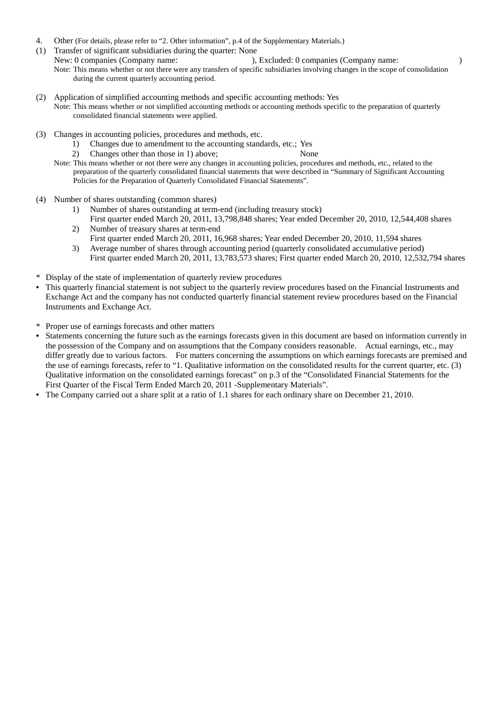- 4. Other (For details, please refer to "2. Other information", p.4 of the Supplementary Materials.)
- (1) Transfer of significant subsidiaries during the quarter: None<br>New: 0 companies (Company name: ),  $N$ , Excluded: 0 companies (Company name: ) Note: This means whether or not there were any transfers of specific subsidiaries involving changes in the scope of consolidation during the current quarterly accounting period.
- (2) Application of simplified accounting methods and specific accounting methods: Yes Note: This means whether or not simplified accounting methods or accounting methods specific to the preparation of quarterly consolidated financial statements were applied.
- (3) Changes in accounting policies, procedures and methods, etc.
	- 1) Changes due to amendment to the accounting standards, etc.; Yes
		- 2) Changes other than those in 1) above; None
	- Note: This means whether or not there were any changes in accounting policies, procedures and methods, etc., related to the preparation of the quarterly consolidated financial statements that were described in "Summary of Significant Accounting Policies for the Preparation of Quarterly Consolidated Financial Statements".
- (4) Number of shares outstanding (common shares)
	- 1) Number of shares outstanding at term-end (including treasury stock) First quarter ended March 20, 2011, 13,798,848 shares; Year ended December 20, 2010, 12,544,408 shares 2) Number of treasury shares at term-end
	- First quarter ended March 20, 2011, 16,968 shares; Year ended December 20, 2010, 11,594 shares
	- 3) Average number of shares through accounting period (quarterly consolidated accumulative period) First quarter ended March 20, 2011, 13,783,573 shares; First quarter ended March 20, 2010, 12,532,794 shares
- \* Display of the state of implementation of quarterly review procedures
- This quarterly financial statement is not subject to the quarterly review procedures based on the Financial Instruments and Exchange Act and the company has not conducted quarterly financial statement review procedures based on the Financial Instruments and Exchange Act.
- \* Proper use of earnings forecasts and other matters
- Statements concerning the future such as the earnings forecasts given in this document are based on information currently in the possession of the Company and on assumptions that the Company considers reasonable. Actual earnings, etc., may differ greatly due to various factors. For matters concerning the assumptions on which earnings forecasts are premised and the use of earnings forecasts, refer to "1. Qualitative information on the consolidated results for the current quarter, etc. (3) Qualitative information on the consolidated earnings forecast" on p.3 of the "Consolidated Financial Statements for the First Quarter of the Fiscal Term Ended March 20, 2011 -Supplementary Materials".
- The Company carried out a share split at a ratio of 1.1 shares for each ordinary share on December 21, 2010.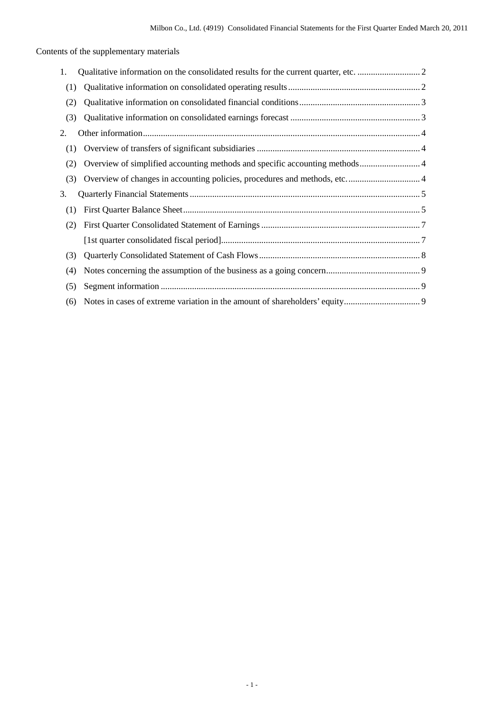Contents of the supplementary materials

| 1.  |  |
|-----|--|
| (1) |  |
| (2) |  |
| (3) |  |
| 2.  |  |
| (1) |  |
| (2) |  |
| (3) |  |
|     |  |
| 3.  |  |
| (1) |  |
| (2) |  |
|     |  |
| (3) |  |
| (4) |  |
| (5) |  |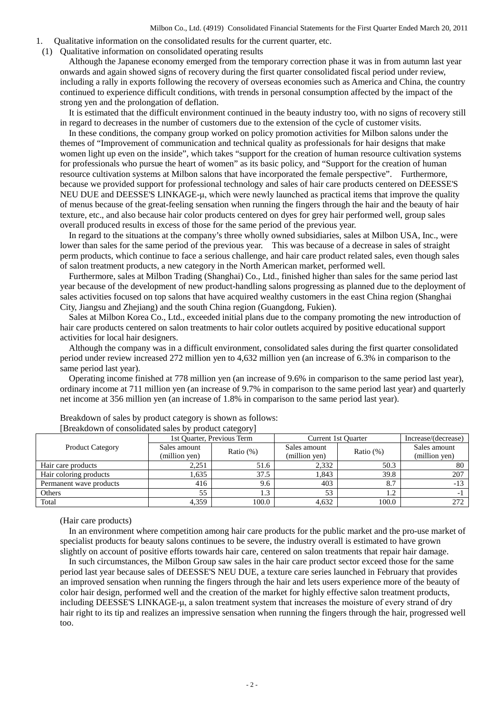- 1. Qualitative information on the consolidated results for the current quarter, etc.
- (1) Qualitative information on consolidated operating results

Although the Japanese economy emerged from the temporary correction phase it was in from autumn last year onwards and again showed signs of recovery during the first quarter consolidated fiscal period under review, including a rally in exports following the recovery of overseas economies such as America and China, the country continued to experience difficult conditions, with trends in personal consumption affected by the impact of the strong yen and the prolongation of deflation.

It is estimated that the difficult environment continued in the beauty industry too, with no signs of recovery still in regard to decreases in the number of customers due to the extension of the cycle of customer visits.

In these conditions, the company group worked on policy promotion activities for Milbon salons under the themes of "Improvement of communication and technical quality as professionals for hair designs that make women light up even on the inside", which takes "support for the creation of human resource cultivation systems for professionals who pursue the heart of women" as its basic policy, and "Support for the creation of human resource cultivation systems at Milbon salons that have incorporated the female perspective". Furthermore, because we provided support for professional technology and sales of hair care products centered on DEESSE'S NEU DUE and DEESSE'S LINKAGE-μ, which were newly launched as practical items that improve the quality of menus because of the great-feeling sensation when running the fingers through the hair and the beauty of hair texture, etc., and also because hair color products centered on dyes for grey hair performed well, group sales overall produced results in excess of those for the same period of the previous year.

In regard to the situations at the company's three wholly owned subsidiaries, sales at Milbon USA, Inc., were lower than sales for the same period of the previous year. This was because of a decrease in sales of straight perm products, which continue to face a serious challenge, and hair care product related sales, even though sales of salon treatment products, a new category in the North American market, performed well.

Furthermore, sales at Milbon Trading (Shanghai) Co., Ltd., finished higher than sales for the same period last year because of the development of new product-handling salons progressing as planned due to the deployment of sales activities focused on top salons that have acquired wealthy customers in the east China region (Shanghai City, Jiangsu and Zhejiang) and the south China region (Guangdong, Fukien).

Sales at Milbon Korea Co., Ltd., exceeded initial plans due to the company promoting the new introduction of hair care products centered on salon treatments to hair color outlets acquired by positive educational support activities for local hair designers.

Although the company was in a difficult environment, consolidated sales during the first quarter consolidated period under review increased 272 million yen to 4,632 million yen (an increase of 6.3% in comparison to the same period last year).

Operating income finished at 778 million yen (an increase of 9.6% in comparison to the same period last year), ordinary income at 711 million yen (an increase of 9.7% in comparison to the same period last year) and quarterly net income at 356 million yen (an increase of 1.8% in comparison to the same period last year).

|                         | 1st Quarter, Previous Term |              | Current 1st Ouarter | Increase/(decrease) |               |
|-------------------------|----------------------------|--------------|---------------------|---------------------|---------------|
| <b>Product Category</b> | Sales amount               | Ratio $(\%)$ | Sales amount        | Ratio $(\%)$        | Sales amount  |
|                         | (million yen)              |              | (million yen)       |                     | (million yen) |
| Hair care products      | 2,251                      | 51.6         | 2,332               | 50.3                | 80            |
| Hair coloring products  | 1,635                      | 37.5         | .843                | 39.8                | 207           |
| Permanent wave products | 416                        | 9.6          | 403                 | 8.7                 | $-13$         |
| Others                  | 55                         | 1.3          | 53                  |                     |               |
| Total                   | 4,359                      | 100.0        | 4,632               | 100.0               | 272           |

Breakdown of sales by product category is shown as follows: [Breakdown of consolidated sales by product category]

(Hair care products)

In an environment where competition among hair care products for the public market and the pro-use market of specialist products for beauty salons continues to be severe, the industry overall is estimated to have grown slightly on account of positive efforts towards hair care, centered on salon treatments that repair hair damage.

In such circumstances, the Milbon Group saw sales in the hair care product sector exceed those for the same period last year because sales of DEESSE'S NEU DUE, a texture care series launched in February that provides an improved sensation when running the fingers through the hair and lets users experience more of the beauty of color hair design, performed well and the creation of the market for highly effective salon treatment products, including DEESSE'S LINKAGE-μ, a salon treatment system that increases the moisture of every strand of dry hair right to its tip and realizes an impressive sensation when running the fingers through the hair, progressed well too.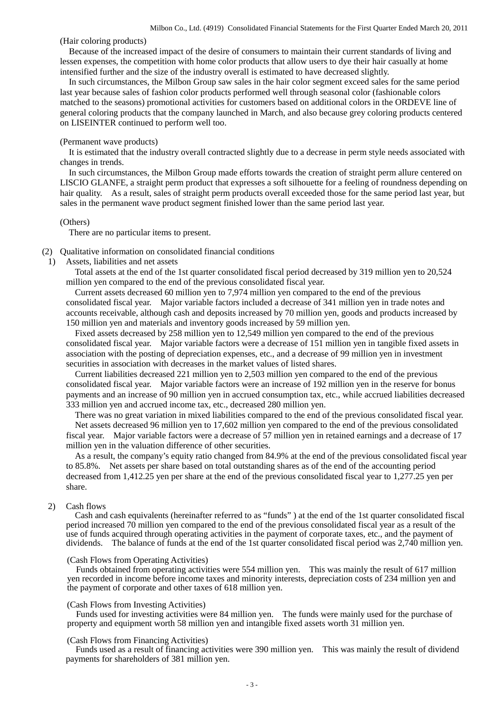(Hair coloring products)

Because of the increased impact of the desire of consumers to maintain their current standards of living and lessen expenses, the competition with home color products that allow users to dye their hair casually at home intensified further and the size of the industry overall is estimated to have decreased slightly.

In such circumstances, the Milbon Group saw sales in the hair color segment exceed sales for the same period last year because sales of fashion color products performed well through seasonal color (fashionable colors matched to the seasons) promotional activities for customers based on additional colors in the ORDEVE line of general coloring products that the company launched in March, and also because grey coloring products centered on LISEINTER continued to perform well too.

#### (Permanent wave products)

It is estimated that the industry overall contracted slightly due to a decrease in perm style needs associated with changes in trends.

In such circumstances, the Milbon Group made efforts towards the creation of straight perm allure centered on LISCIO GLANFE, a straight perm product that expresses a soft silhouette for a feeling of roundness depending on hair quality. As a result, sales of straight perm products overall exceeded those for the same period last year, but sales in the permanent wave product segment finished lower than the same period last year.

#### (Others)

There are no particular items to present.

## (2) Qualitative information on consolidated financial conditions

1) Assets, liabilities and net assets

Total assets at the end of the 1st quarter consolidated fiscal period decreased by 319 million yen to 20,524 million yen compared to the end of the previous consolidated fiscal year.

Current assets decreased 60 million yen to 7,974 million yen compared to the end of the previous consolidated fiscal year. Major variable factors included a decrease of 341 million yen in trade notes and accounts receivable, although cash and deposits increased by 70 million yen, goods and products increased by 150 million yen and materials and inventory goods increased by 59 million yen.

Fixed assets decreased by 258 million yen to 12,549 million yen compared to the end of the previous consolidated fiscal year. Major variable factors were a decrease of 151 million yen in tangible fixed assets in association with the posting of depreciation expenses, etc., and a decrease of 99 million yen in investment securities in association with decreases in the market values of listed shares.

Current liabilities decreased 221 million yen to 2,503 million yen compared to the end of the previous consolidated fiscal year. Major variable factors were an increase of 192 million yen in the reserve for bonus payments and an increase of 90 million yen in accrued consumption tax, etc., while accrued liabilities decreased 333 million yen and accrued income tax, etc., decreased 280 million yen.

There was no great variation in mixed liabilities compared to the end of the previous consolidated fiscal year. Net assets decreased 96 million yen to 17,602 million yen compared to the end of the previous consolidated fiscal year. Major variable factors were a decrease of 57 million yen in retained earnings and a decrease of 17 million yen in the valuation difference of other securities.

As a result, the company's equity ratio changed from 84.9% at the end of the previous consolidated fiscal year to 85.8%. Net assets per share based on total outstanding shares as of the end of the accounting period decreased from 1,412.25 yen per share at the end of the previous consolidated fiscal year to 1,277.25 yen per share.

## 2) Cash flows

Cash and cash equivalents (hereinafter referred to as "funds" ) at the end of the 1st quarter consolidated fiscal period increased 70 million yen compared to the end of the previous consolidated fiscal year as a result of the use of funds acquired through operating activities in the payment of corporate taxes, etc., and the payment of dividends. The balance of funds at the end of the 1st quarter consolidated fiscal period was 2,740 million yen.

#### (Cash Flows from Operating Activities)

Funds obtained from operating activities were 554 million yen. This was mainly the result of 617 million yen recorded in income before income taxes and minority interests, depreciation costs of 234 million yen and the payment of corporate and other taxes of 618 million yen.

#### (Cash Flows from Investing Activities)

Funds used for investing activities were 84 million yen. The funds were mainly used for the purchase of property and equipment worth 58 million yen and intangible fixed assets worth 31 million yen.

#### (Cash Flows from Financing Activities)

Funds used as a result of financing activities were 390 million yen. This was mainly the result of dividend payments for shareholders of 381 million yen.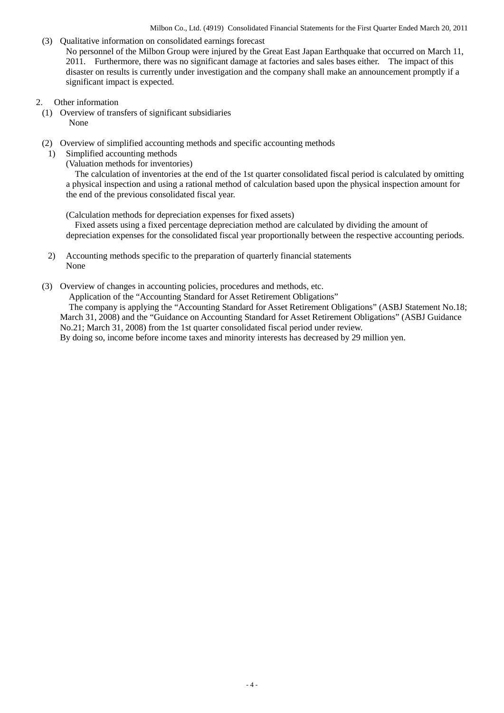- (3) Qualitative information on consolidated earnings forecast No personnel of the Milbon Group were injured by the Great East Japan Earthquake that occurred on March 11, 2011. Furthermore, there was no significant damage at factories and sales bases either. The impact of this disaster on results is currently under investigation and the company shall make an announcement promptly if a significant impact is expected.
- 2. Other information
- (1) Overview of transfers of significant subsidiaries None
- (2) Overview of simplified accounting methods and specific accounting methods
- 1) Simplified accounting methods
	- (Valuation methods for inventories)

The calculation of inventories at the end of the 1st quarter consolidated fiscal period is calculated by omitting a physical inspection and using a rational method of calculation based upon the physical inspection amount for the end of the previous consolidated fiscal year.

(Calculation methods for depreciation expenses for fixed assets)

Fixed assets using a fixed percentage depreciation method are calculated by dividing the amount of depreciation expenses for the consolidated fiscal year proportionally between the respective accounting periods.

- 2) Accounting methods specific to the preparation of quarterly financial statements None
- (3) Overview of changes in accounting policies, procedures and methods, etc.

Application of the "Accounting Standard for Asset Retirement Obligations"

The company is applying the "Accounting Standard for Asset Retirement Obligations" (ASBJ Statement No.18; March 31, 2008) and the "Guidance on Accounting Standard for Asset Retirement Obligations" (ASBJ Guidance No.21; March 31, 2008) from the 1st quarter consolidated fiscal period under review.

By doing so, income before income taxes and minority interests has decreased by 29 million yen.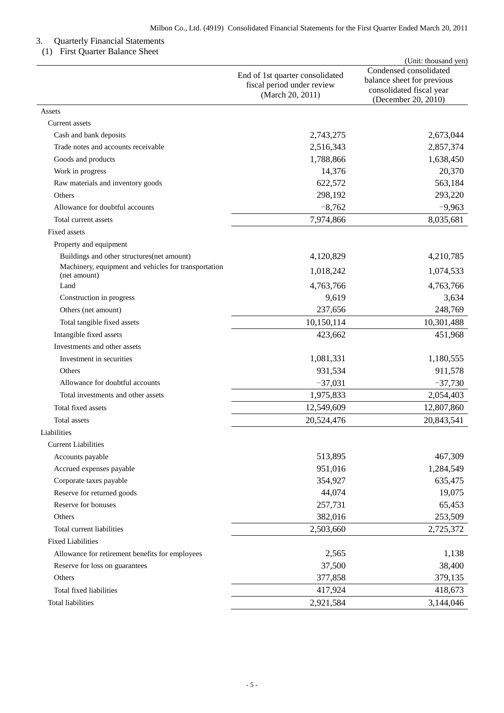## 3. Quarterly Financial Statements

## (1) First Quarter Balance Sheet

|                                                                      | End of 1st quarter consolidated<br>fiscal period under review<br>(March 20, 2011) | (Unit: thousand yen)<br>Condensed consolidated<br>balance sheet for previous<br>consolidated fiscal year<br>(December 20, 2010) |
|----------------------------------------------------------------------|-----------------------------------------------------------------------------------|---------------------------------------------------------------------------------------------------------------------------------|
| Assets                                                               |                                                                                   |                                                                                                                                 |
| Current assets                                                       |                                                                                   |                                                                                                                                 |
| Cash and bank deposits                                               | 2,743,275                                                                         | 2,673,044                                                                                                                       |
| Trade notes and accounts receivable                                  | 2,516,343                                                                         | 2,857,374                                                                                                                       |
| Goods and products                                                   | 1,788,866                                                                         | 1,638,450                                                                                                                       |
| Work in progress                                                     | 14,376                                                                            | 20,370                                                                                                                          |
| Raw materials and inventory goods                                    | 622,572                                                                           | 563,184                                                                                                                         |
| Others                                                               | 298,192                                                                           | 293,220                                                                                                                         |
| Allowance for doubtful accounts                                      | $-8,762$                                                                          | $-9,963$                                                                                                                        |
| Total current assets                                                 | 7,974,866                                                                         | 8,035,681                                                                                                                       |
| Fixed assets                                                         |                                                                                   |                                                                                                                                 |
| Property and equipment                                               |                                                                                   |                                                                                                                                 |
| Buildings and other structures(net amount)                           | 4,120,829                                                                         | 4,210,785                                                                                                                       |
| Machinery, equipment and vehicles for transportation<br>(net amount) | 1,018,242                                                                         | 1,074,533                                                                                                                       |
| Land                                                                 | 4,763,766                                                                         | 4,763,766                                                                                                                       |
| Construction in progress                                             | 9,619                                                                             | 3,634                                                                                                                           |
| Others (net amount)                                                  | 237,656                                                                           | 248,769                                                                                                                         |
| Total tangible fixed assets                                          | 10,150,114                                                                        | 10,301,488                                                                                                                      |
| Intangible fixed assets                                              | 423,662                                                                           | 451,968                                                                                                                         |
| Investments and other assets                                         |                                                                                   |                                                                                                                                 |
| Investment in securities                                             | 1,081,331                                                                         | 1,180,555                                                                                                                       |
| Others                                                               | 931,534                                                                           | 911,578                                                                                                                         |
| Allowance for doubtful accounts                                      | $-37,031$                                                                         | $-37,730$                                                                                                                       |
| Total investments and other assets                                   | 1,975,833                                                                         | 2,054,403                                                                                                                       |
| Total fixed assets                                                   | 12,549,609                                                                        | 12,807,860                                                                                                                      |
| Total assets                                                         | 20,524,476                                                                        | 20,843,541                                                                                                                      |
| Liabilities                                                          |                                                                                   |                                                                                                                                 |
| <b>Current Liabilities</b>                                           |                                                                                   |                                                                                                                                 |
| Accounts payable                                                     | 513,895                                                                           | 467,309                                                                                                                         |
| Accrued expenses payable                                             | 951,016                                                                           | 1,284,549                                                                                                                       |
| Corporate taxes payable                                              | 354,927                                                                           | 635,475                                                                                                                         |
| Reserve for returned goods                                           | 44,074                                                                            | 19,075                                                                                                                          |
| Reserve for bonuses                                                  | 257,731                                                                           | 65,453                                                                                                                          |
| Others                                                               | 382,016                                                                           | 253,509                                                                                                                         |
| Total current liabilities                                            | 2,503,660                                                                         | 2,725,372                                                                                                                       |
| <b>Fixed Liabilities</b>                                             |                                                                                   |                                                                                                                                 |
| Allowance for retirement benefits for employees                      | 2,565                                                                             | 1,138                                                                                                                           |
| Reserve for loss on guarantees                                       | 37,500                                                                            | 38,400                                                                                                                          |
| Others                                                               | 377,858                                                                           | 379,135                                                                                                                         |
| Total fixed liabilities                                              | 417,924                                                                           | 418,673                                                                                                                         |
| <b>Total liabilities</b>                                             | 2,921,584                                                                         | 3,144,046                                                                                                                       |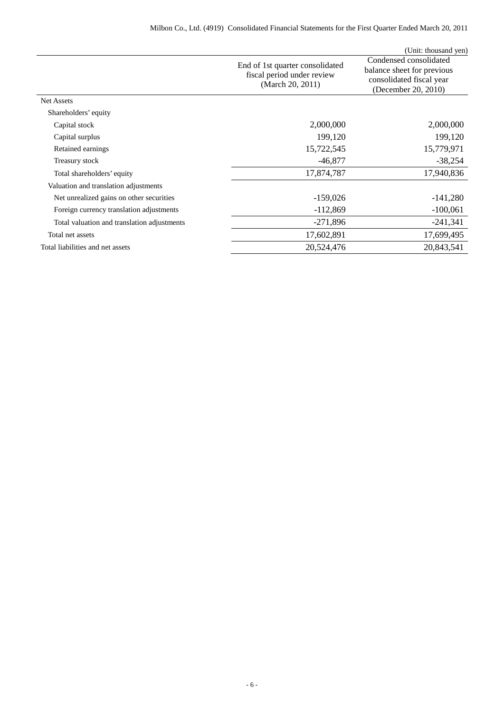|                                             |                                                                                   | (Unit: thousand yen)                                                                                    |
|---------------------------------------------|-----------------------------------------------------------------------------------|---------------------------------------------------------------------------------------------------------|
|                                             | End of 1st quarter consolidated<br>fiscal period under review<br>(March 20, 2011) | Condensed consolidated<br>balance sheet for previous<br>consolidated fiscal year<br>(December 20, 2010) |
| Net Assets                                  |                                                                                   |                                                                                                         |
| Shareholders' equity                        |                                                                                   |                                                                                                         |
| Capital stock                               | 2,000,000                                                                         | 2,000,000                                                                                               |
| Capital surplus                             | 199,120                                                                           | 199,120                                                                                                 |
| Retained earnings                           | 15,722,545                                                                        | 15,779,971                                                                                              |
| Treasury stock                              | $-46,877$                                                                         | $-38,254$                                                                                               |
| Total shareholders' equity                  | 17,874,787                                                                        | 17,940,836                                                                                              |
| Valuation and translation adjustments       |                                                                                   |                                                                                                         |
| Net unrealized gains on other securities    | $-159,026$                                                                        | $-141,280$                                                                                              |
| Foreign currency translation adjustments    | $-112,869$                                                                        | $-100,061$                                                                                              |
| Total valuation and translation adjustments | $-271,896$                                                                        | $-241,341$                                                                                              |
| Total net assets                            | 17,602,891                                                                        | 17,699,495                                                                                              |
| Total liabilities and net assets            | 20,524,476                                                                        | 20,843,541                                                                                              |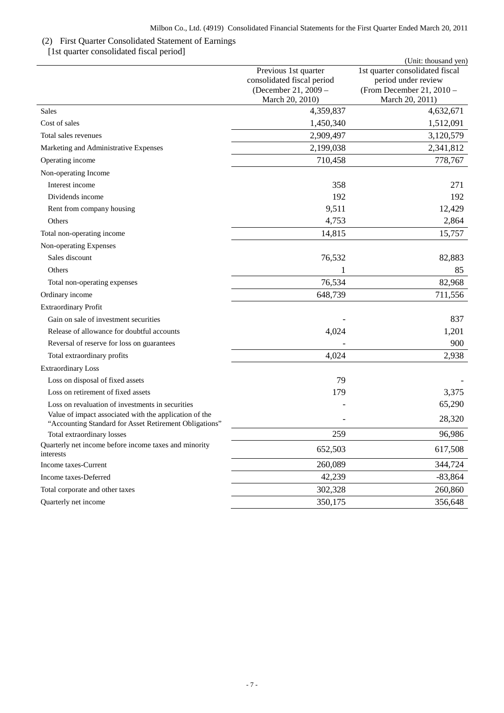## (2) First Quarter Consolidated Statement of Earnings

[1st quarter consolidated fiscal period]

|                                                                                                                  |                                                                                               | (Unit: thousand yen)                                                                                     |
|------------------------------------------------------------------------------------------------------------------|-----------------------------------------------------------------------------------------------|----------------------------------------------------------------------------------------------------------|
|                                                                                                                  | Previous 1st quarter<br>consolidated fiscal period<br>(December 21, 2009 -<br>March 20, 2010) | 1st quarter consolidated fiscal<br>period under review<br>(From December 21, $2010 -$<br>March 20, 2011) |
| <b>Sales</b>                                                                                                     | 4,359,837                                                                                     | 4,632,671                                                                                                |
| Cost of sales                                                                                                    | 1,450,340                                                                                     | 1,512,091                                                                                                |
| Total sales revenues                                                                                             | 2,909,497                                                                                     | 3,120,579                                                                                                |
| Marketing and Administrative Expenses                                                                            | 2,199,038                                                                                     | 2,341,812                                                                                                |
| Operating income                                                                                                 | 710,458                                                                                       | 778,767                                                                                                  |
| Non-operating Income                                                                                             |                                                                                               |                                                                                                          |
| Interest income                                                                                                  | 358                                                                                           | 271                                                                                                      |
| Dividends income                                                                                                 | 192                                                                                           | 192                                                                                                      |
| Rent from company housing                                                                                        | 9,511                                                                                         | 12,429                                                                                                   |
| Others                                                                                                           | 4,753                                                                                         | 2,864                                                                                                    |
| Total non-operating income                                                                                       | 14,815                                                                                        | 15,757                                                                                                   |
| Non-operating Expenses                                                                                           |                                                                                               |                                                                                                          |
| Sales discount                                                                                                   | 76,532                                                                                        | 82,883                                                                                                   |
| Others                                                                                                           |                                                                                               | 85                                                                                                       |
| Total non-operating expenses                                                                                     | 76,534                                                                                        | 82,968                                                                                                   |
| Ordinary income                                                                                                  | 648,739                                                                                       | 711,556                                                                                                  |
| <b>Extraordinary Profit</b>                                                                                      |                                                                                               |                                                                                                          |
| Gain on sale of investment securities                                                                            |                                                                                               | 837                                                                                                      |
| Release of allowance for doubtful accounts                                                                       | 4,024                                                                                         | 1,201                                                                                                    |
| Reversal of reserve for loss on guarantees                                                                       |                                                                                               | 900                                                                                                      |
| Total extraordinary profits                                                                                      | 4,024                                                                                         | 2,938                                                                                                    |
| <b>Extraordinary Loss</b>                                                                                        |                                                                                               |                                                                                                          |
| Loss on disposal of fixed assets                                                                                 | 79                                                                                            |                                                                                                          |
| Loss on retirement of fixed assets                                                                               | 179                                                                                           | 3,375                                                                                                    |
| Loss on revaluation of investments in securities                                                                 |                                                                                               | 65,290                                                                                                   |
| Value of impact associated with the application of the<br>"Accounting Standard for Asset Retirement Obligations" |                                                                                               | 28,320                                                                                                   |
| Total extraordinary losses                                                                                       | 259                                                                                           | 96,986                                                                                                   |
| Quarterly net income before income taxes and minority<br>interests                                               | 652,503                                                                                       | 617,508                                                                                                  |
| Income taxes-Current                                                                                             | 260,089                                                                                       | 344,724                                                                                                  |
| Income taxes-Deferred                                                                                            | 42,239                                                                                        | $-83,864$                                                                                                |
| Total corporate and other taxes                                                                                  | 302,328                                                                                       | 260,860                                                                                                  |
| Quarterly net income                                                                                             | 350,175                                                                                       | 356,648                                                                                                  |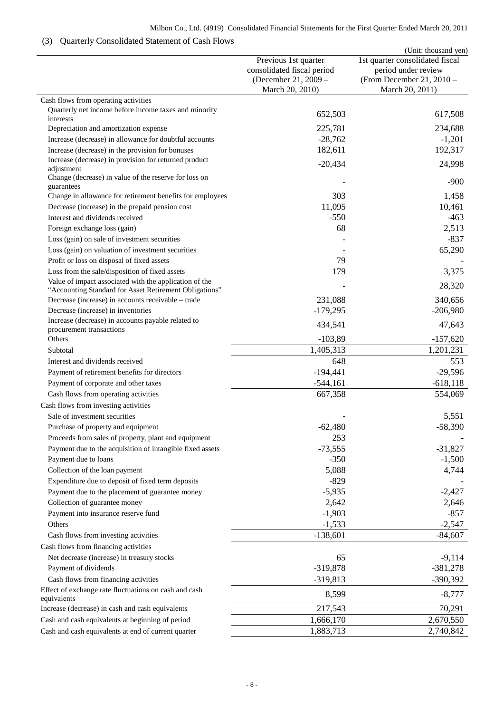## Milbon Co., Ltd. (4919) Consolidated Financial Statements for the First Quarter Ended March 20, 2011

## (3) Quarterly Consolidated Statement of Cash Flows

|                                                                                                 |                                                                                               | (Unit: thousand yen)                                                                                   |
|-------------------------------------------------------------------------------------------------|-----------------------------------------------------------------------------------------------|--------------------------------------------------------------------------------------------------------|
|                                                                                                 | Previous 1st quarter<br>consolidated fiscal period<br>(December 21, 2009 -<br>March 20, 2010) | 1st quarter consolidated fiscal<br>period under review<br>(From December 21, 2010 -<br>March 20, 2011) |
| Cash flows from operating activities                                                            |                                                                                               |                                                                                                        |
| Quarterly net income before income taxes and minority                                           | 652,503                                                                                       | 617,508                                                                                                |
| interests<br>Depreciation and amortization expense                                              | 225,781                                                                                       | 234,688                                                                                                |
| Increase (decrease) in allowance for doubtful accounts                                          | $-28,762$                                                                                     | $-1,201$                                                                                               |
| Increase (decrease) in the provision for bonuses                                                | 182,611                                                                                       | 192,317                                                                                                |
| Increase (decrease) in provision for returned product                                           |                                                                                               |                                                                                                        |
| adjustment<br>Change (decrease) in value of the reserve for loss on                             | $-20,434$                                                                                     | 24,998<br>$-900$                                                                                       |
| guarantees                                                                                      |                                                                                               |                                                                                                        |
| Change in allowance for retirement benefits for employees                                       | 303                                                                                           | 1,458                                                                                                  |
| Decrease (increase) in the prepaid pension cost                                                 | 11,095                                                                                        | 10,461                                                                                                 |
| Interest and dividends received                                                                 | $-550$                                                                                        | $-463$                                                                                                 |
| Foreign exchange loss (gain)                                                                    | 68                                                                                            | 2,513                                                                                                  |
| Loss (gain) on sale of investment securities                                                    |                                                                                               | $-837$                                                                                                 |
| Loss (gain) on valuation of investment securities<br>Profit or loss on disposal of fixed assets | 79                                                                                            | 65,290                                                                                                 |
| Loss from the sale/disposition of fixed assets                                                  | 179                                                                                           |                                                                                                        |
| Value of impact associated with the application of the                                          |                                                                                               | 3,375                                                                                                  |
| "Accounting Standard for Asset Retirement Obligations"                                          |                                                                                               | 28,320                                                                                                 |
| Decrease (increase) in accounts receivable - trade                                              | 231,088                                                                                       | 340,656                                                                                                |
| Decrease (increase) in inventories                                                              | $-179,295$                                                                                    | $-206,980$                                                                                             |
| Increase (decrease) in accounts payable related to<br>procurement transactions                  | 434,541                                                                                       | 47,643                                                                                                 |
| Others                                                                                          | $-103,89$                                                                                     | $-157,620$                                                                                             |
| Subtotal                                                                                        | 1,405,313                                                                                     | 1,201,231                                                                                              |
| Interest and dividends received                                                                 | 648                                                                                           | 553                                                                                                    |
| Payment of retirement benefits for directors                                                    | $-194,441$                                                                                    | $-29,596$                                                                                              |
| Payment of corporate and other taxes                                                            | $-544,161$                                                                                    | $-618,118$                                                                                             |
| Cash flows from operating activities                                                            | 667,358                                                                                       | 554,069                                                                                                |
| Cash flows from investing activities                                                            |                                                                                               |                                                                                                        |
| Sale of investment securities                                                                   |                                                                                               | 5,551                                                                                                  |
| Purchase of property and equipment                                                              | $-62,480$                                                                                     | $-58,390$                                                                                              |
| Proceeds from sales of property, plant and equipment                                            | 253                                                                                           |                                                                                                        |
| Payment due to the acquisition of intangible fixed assets                                       | $-73,555$                                                                                     | $-31,827$                                                                                              |
| Payment due to loans                                                                            | $-350$                                                                                        | $-1,500$                                                                                               |
| Collection of the loan payment                                                                  | 5,088                                                                                         | 4,744                                                                                                  |
| Expenditure due to deposit of fixed term deposits                                               | $-829$                                                                                        |                                                                                                        |
| Payment due to the placement of guarantee money                                                 | $-5,935$                                                                                      | $-2,427$                                                                                               |
| Collection of guarantee money                                                                   | 2,642                                                                                         | 2,646                                                                                                  |
| Payment into insurance reserve fund                                                             | $-1,903$                                                                                      | $-857$                                                                                                 |
| Others                                                                                          | $-1,533$                                                                                      | $-2,547$                                                                                               |
| Cash flows from investing activities                                                            | $-138,601$                                                                                    | $-84,607$                                                                                              |
| Cash flows from financing activities                                                            |                                                                                               |                                                                                                        |
| Net decrease (increase) in treasury stocks                                                      | 65                                                                                            | $-9,114$                                                                                               |
| Payment of dividends                                                                            | $-319,878$                                                                                    | $-381,278$                                                                                             |
| Cash flows from financing activities                                                            | $-319,813$                                                                                    | $-390,392$                                                                                             |
| Effect of exchange rate fluctuations on cash and cash<br>equivalents                            | 8,599                                                                                         | $-8,777$                                                                                               |
| Increase (decrease) in cash and cash equivalents                                                | 217,543                                                                                       | 70,291                                                                                                 |
| Cash and cash equivalents at beginning of period                                                | 1,666,170                                                                                     | 2,670,550                                                                                              |
| Cash and cash equivalents at end of current quarter                                             | 1,883,713                                                                                     | 2,740,842                                                                                              |